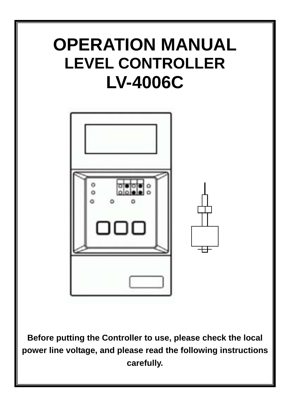## **OPERATION MANUAL LEVEL CONTROLLER LV-4006C**



**Before putting the Controller to use, please check the local power line voltage, and please read the following instructions carefully.**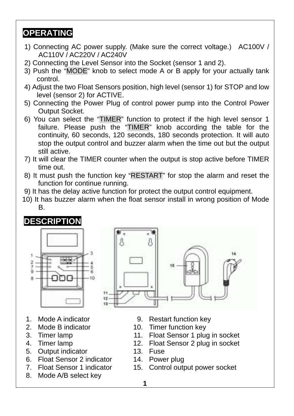## **OPERATING**

- 1) Connecting AC power supply. (Make sure the correct voltage.) AC100V / AC110V / AC220V / AC240V
- 2) Connecting the Level Sensor into the Socket (sensor 1 and 2).
- 3) Push the "MODE" knob to select mode A or B apply for your actually tank control.
- 4) Adjust the two Float Sensors position, high level (sensor 1) for STOP and low level (sensor 2) for ACTIVE.
- 5) Connecting the Power Plug of control power pump into the Control Power Output Socket.
- 6) You can select the "TIMER" function to protect if the high level sensor 1 failure. Please push the "TIMER" knob according the table for the continuity, 60 seconds, 120 seconds, 180 seconds protection. It will auto stop the output control and buzzer alarm when the time out but the output still active.
- 7) It will clear the TIMER counter when the output is stop active before TIMER time out.
- 8) It must push the function key "RESTART" for stop the alarm and reset the function for continue running.
- 9) It has the delay active function for protect the output control equipment.

А

10) It has buzzer alarm when the float sensor install in wrong position of Mode B.



- 
- 
- 
- 
- 5. Output indicator **13.** Fuse
- 6. Float Sensor 2 indicator 14. Power plug
- 
- 8. Mode A/B select key
- 1. Mode A indicator 9. Restart function key
- 2. Mode B indicator 10. Timer function key
- 3. Timer lamp 11. Float Sensor 1 plug in socket
- 4. Timer lamp 12. Float Sensor 2 plug in socket
	-
	-
- 7. Float Sensor 1 indicator 15. Control output power socket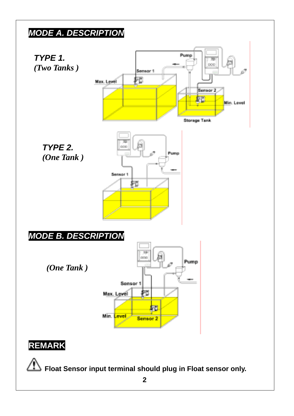